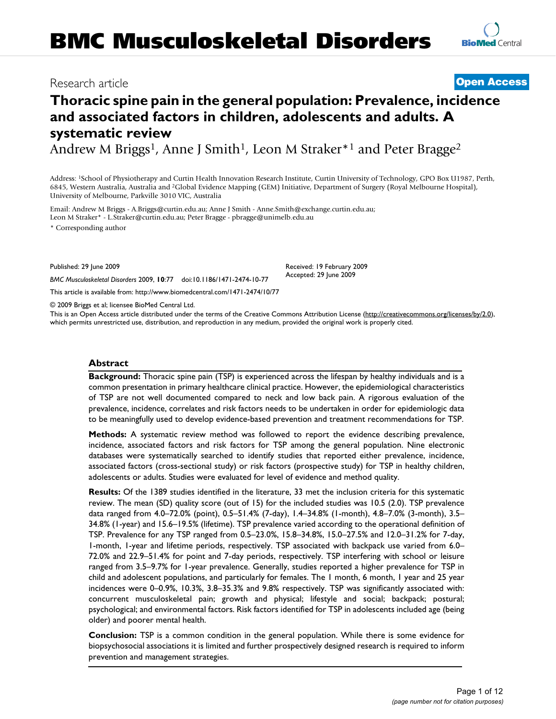# Research article **[Open Access](http://www.biomedcentral.com/info/about/charter/)**

# **Thoracic spine pain in the general population: Prevalence, incidence and associated factors in children, adolescents and adults. A systematic review**

Andrew M Briggs<sup>1</sup>, Anne J Smith<sup>1</sup>, Leon M Straker<sup>\*1</sup> and Peter Bragge<sup>2</sup>

Address: 1School of Physiotherapy and Curtin Health Innovation Research Institute, Curtin University of Technology, GPO Box U1987, Perth, 6845, Western Australia, Australia and 2Global Evidence Mapping (GEM) Initiative, Department of Surgery (Royal Melbourne Hospital), University of Melbourne, Parkville 3010 VIC, Australia

Email: Andrew M Briggs - A.Briggs@curtin.edu.au; Anne J Smith - Anne.Smith@exchange.curtin.edu.au; Leon M Straker\* - L.Straker@curtin.edu.au; Peter Bragge - pbragge@unimelb.edu.au

\* Corresponding author

Published: 29 June 2009

Received: 19 February 2009 Accepted: 29 June 2009

© 2009 Briggs et al; licensee BioMed Central Ltd.

*BMC Musculoskeletal Disorders* 2009, **10**:77 doi:10.1186/1471-2474-10-77

[This article is available from: http://www.biomedcentral.com/1471-2474/10/77](http://www.biomedcentral.com/1471-2474/10/77)

This is an Open Access article distributed under the terms of the Creative Commons Attribution License [\(http://creativecommons.org/licenses/by/2.0\)](http://creativecommons.org/licenses/by/2.0), which permits unrestricted use, distribution, and reproduction in any medium, provided the original work is properly cited.

#### **Abstract**

**Background:** Thoracic spine pain (TSP) is experienced across the lifespan by healthy individuals and is a common presentation in primary healthcare clinical practice. However, the epidemiological characteristics of TSP are not well documented compared to neck and low back pain. A rigorous evaluation of the prevalence, incidence, correlates and risk factors needs to be undertaken in order for epidemiologic data to be meaningfully used to develop evidence-based prevention and treatment recommendations for TSP.

**Methods:** A systematic review method was followed to report the evidence describing prevalence, incidence, associated factors and risk factors for TSP among the general population. Nine electronic databases were systematically searched to identify studies that reported either prevalence, incidence, associated factors (cross-sectional study) or risk factors (prospective study) for TSP in healthy children, adolescents or adults. Studies were evaluated for level of evidence and method quality.

**Results:** Of the 1389 studies identified in the literature, 33 met the inclusion criteria for this systematic review. The mean (SD) quality score (out of 15) for the included studies was 10.5 (2.0). TSP prevalence data ranged from 4.0–72.0% (point), 0.5–51.4% (7-day), 1.4–34.8% (1-month), 4.8–7.0% (3-month), 3.5– 34.8% (1-year) and 15.6–19.5% (lifetime). TSP prevalence varied according to the operational definition of TSP. Prevalence for any TSP ranged from 0.5–23.0%, 15.8–34.8%, 15.0–27.5% and 12.0–31.2% for 7-day, 1-month, 1-year and lifetime periods, respectively. TSP associated with backpack use varied from 6.0– 72.0% and 22.9–51.4% for point and 7-day periods, respectively. TSP interfering with school or leisure ranged from 3.5–9.7% for 1-year prevalence. Generally, studies reported a higher prevalence for TSP in child and adolescent populations, and particularly for females. The 1 month, 6 month, 1 year and 25 year incidences were 0–0.9%, 10.3%, 3.8–35.3% and 9.8% respectively. TSP was significantly associated with: concurrent musculoskeletal pain; growth and physical; lifestyle and social; backpack; postural; psychological; and environmental factors. Risk factors identified for TSP in adolescents included age (being older) and poorer mental health.

**Conclusion:** TSP is a common condition in the general population. While there is some evidence for biopsychosocial associations it is limited and further prospectively designed research is required to inform prevention and management strategies.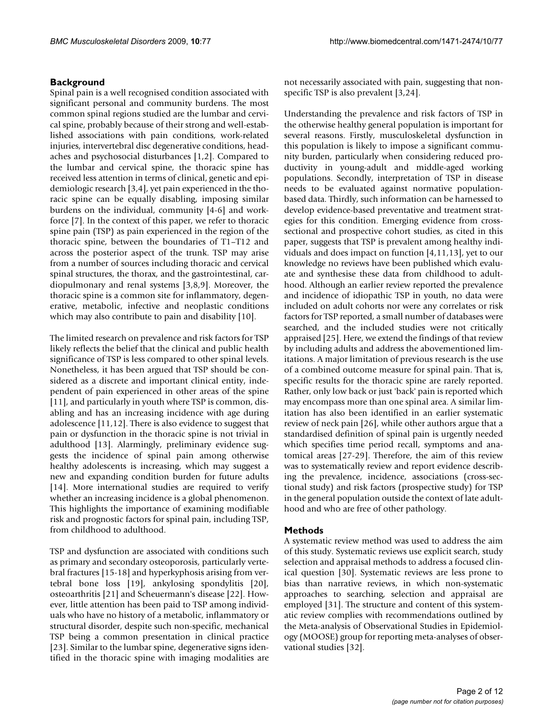### **Background**

Spinal pain is a well recognised condition associated with significant personal and community burdens. The most common spinal regions studied are the lumbar and cervical spine, probably because of their strong and well-established associations with pain conditions, work-related injuries, intervertebral disc degenerative conditions, headaches and psychosocial disturbances [1,2]. Compared to the lumbar and cervical spine, the thoracic spine has received less attention in terms of clinical, genetic and epidemiologic research [3,4], yet pain experienced in the thoracic spine can be equally disabling, imposing similar burdens on the individual, community [4-6] and workforce [7]. In the context of this paper, we refer to thoracic spine pain (TSP) as pain experienced in the region of the thoracic spine, between the boundaries of T1–T12 and across the posterior aspect of the trunk. TSP may arise from a number of sources including thoracic and cervical spinal structures, the thorax, and the gastrointestinal, cardiopulmonary and renal systems [3,8,9]. Moreover, the thoracic spine is a common site for inflammatory, degenerative, metabolic, infective and neoplastic conditions which may also contribute to pain and disability [10].

The limited research on prevalence and risk factors for TSP likely reflects the belief that the clinical and public health significance of TSP is less compared to other spinal levels. Nonetheless, it has been argued that TSP should be considered as a discrete and important clinical entity, independent of pain experienced in other areas of the spine [11], and particularly in youth where TSP is common, disabling and has an increasing incidence with age during adolescence [11,12]. There is also evidence to suggest that pain or dysfunction in the thoracic spine is not trivial in adulthood [13]. Alarmingly, preliminary evidence suggests the incidence of spinal pain among otherwise healthy adolescents is increasing, which may suggest a new and expanding condition burden for future adults [14]. More international studies are required to verify whether an increasing incidence is a global phenomenon. This highlights the importance of examining modifiable risk and prognostic factors for spinal pain, including TSP, from childhood to adulthood.

TSP and dysfunction are associated with conditions such as primary and secondary osteoporosis, particularly vertebral fractures [15-18] and hyperkyphosis arising from vertebral bone loss [19], ankylosing spondylitis [20], osteoarthritis [21] and Scheuermann's disease [22]. However, little attention has been paid to TSP among individuals who have no history of a metabolic, inflammatory or structural disorder, despite such non-specific, mechanical TSP being a common presentation in clinical practice [23]. Similar to the lumbar spine, degenerative signs identified in the thoracic spine with imaging modalities are

not necessarily associated with pain, suggesting that nonspecific TSP is also prevalent [3,24].

Understanding the prevalence and risk factors of TSP in the otherwise healthy general population is important for several reasons. Firstly, musculoskeletal dysfunction in this population is likely to impose a significant community burden, particularly when considering reduced productivity in young-adult and middle-aged working populations. Secondly, interpretation of TSP in disease needs to be evaluated against normative populationbased data. Thirdly, such information can be harnessed to develop evidence-based preventative and treatment strategies for this condition. Emerging evidence from crosssectional and prospective cohort studies, as cited in this paper, suggests that TSP is prevalent among healthy individuals and does impact on function [4,11,13], yet to our knowledge no reviews have been published which evaluate and synthesise these data from childhood to adulthood. Although an earlier review reported the prevalence and incidence of idiopathic TSP in youth, no data were included on adult cohorts nor were any correlates or risk factors for TSP reported, a small number of databases were searched, and the included studies were not critically appraised [25]. Here, we extend the findings of that review by including adults and address the abovementioned limitations. A major limitation of previous research is the use of a combined outcome measure for spinal pain. That is, specific results for the thoracic spine are rarely reported. Rather, only low back or just 'back' pain is reported which may encompass more than one spinal area. A similar limitation has also been identified in an earlier systematic review of neck pain [26], while other authors argue that a standardised definition of spinal pain is urgently needed which specifies time period recall, symptoms and anatomical areas [27-29]. Therefore, the aim of this review was to systematically review and report evidence describing the prevalence, incidence, associations (cross-sectional study) and risk factors (prospective study) for TSP in the general population outside the context of late adulthood and who are free of other pathology.

#### **Methods**

A systematic review method was used to address the aim of this study. Systematic reviews use explicit search, study selection and appraisal methods to address a focused clinical question [30]. Systematic reviews are less prone to bias than narrative reviews, in which non-systematic approaches to searching, selection and appraisal are employed [31]. The structure and content of this systematic review complies with recommendations outlined by the Meta-analysis of Observational Studies in Epidemiology (MOOSE) group for reporting meta-analyses of observational studies [32].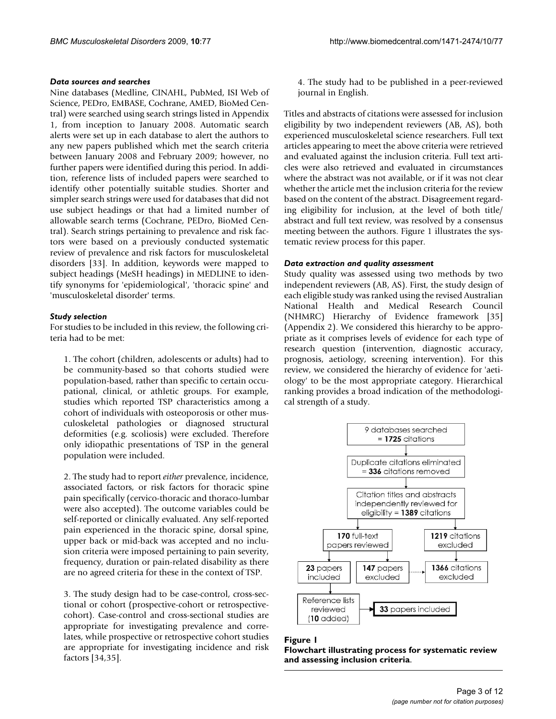#### *Data sources and searches*

Nine databases (Medline, CINAHL, PubMed, ISI Web of Science, PEDro, EMBASE, Cochrane, AMED, BioMed Central) were searched using search strings listed in Appendix 1, from inception to January 2008. Automatic search alerts were set up in each database to alert the authors to any new papers published which met the search criteria between January 2008 and February 2009; however, no further papers were identified during this period. In addition, reference lists of included papers were searched to identify other potentially suitable studies. Shorter and simpler search strings were used for databases that did not use subject headings or that had a limited number of allowable search terms (Cochrane, PEDro, BioMed Central). Search strings pertaining to prevalence and risk factors were based on a previously conducted systematic review of prevalence and risk factors for musculoskeletal disorders [33]. In addition, keywords were mapped to subject headings (MeSH headings) in MEDLINE to identify synonyms for 'epidemiological', 'thoracic spine' and 'musculoskeletal disorder' terms.

#### *Study selection*

For studies to be included in this review, the following criteria had to be met:

1. The cohort (children, adolescents or adults) had to be community-based so that cohorts studied were population-based, rather than specific to certain occupational, clinical, or athletic groups. For example, studies which reported TSP characteristics among a cohort of individuals with osteoporosis or other musculoskeletal pathologies or diagnosed structural deformities (e.g. scoliosis) were excluded. Therefore only idiopathic presentations of TSP in the general population were included.

2. The study had to report *either* prevalence, incidence, associated factors, or risk factors for thoracic spine pain specifically (cervico-thoracic and thoraco-lumbar were also accepted). The outcome variables could be self-reported or clinically evaluated. Any self-reported pain experienced in the thoracic spine, dorsal spine, upper back or mid-back was accepted and no inclusion criteria were imposed pertaining to pain severity, frequency, duration or pain-related disability as there are no agreed criteria for these in the context of TSP.

3. The study design had to be case-control, cross-sectional or cohort (prospective-cohort or retrospectivecohort). Case-control and cross-sectional studies are appropriate for investigating prevalence and correlates, while prospective or retrospective cohort studies are appropriate for investigating incidence and risk factors [34,35].

4. The study had to be published in a peer-reviewed journal in English.

Titles and abstracts of citations were assessed for inclusion eligibility by two independent reviewers (AB, AS), both experienced musculoskeletal science researchers. Full text articles appearing to meet the above criteria were retrieved and evaluated against the inclusion criteria. Full text articles were also retrieved and evaluated in circumstances where the abstract was not available, or if it was not clear whether the article met the inclusion criteria for the review based on the content of the abstract. Disagreement regarding eligibility for inclusion, at the level of both title/ abstract and full text review, was resolved by a consensus meeting between the authors. Figure 1 illustrates the systematic review process for this paper.

#### *Data extraction and quality assessment*

Study quality was assessed using two methods by two independent reviewers (AB, AS). First, the study design of each eligible study was ranked using the revised Australian National Health and Medical Research Council (NHMRC) Hierarchy of Evidence framework [35] (Appendix 2). We considered this hierarchy to be appropriate as it comprises levels of evidence for each type of research question (intervention, diagnostic accuracy, prognosis, aetiology, screening intervention). For this review, we considered the hierarchy of evidence for 'aetiology' to be the most appropriate category. Hierarchical ranking provides a broad indication of the methodological strength of a study.



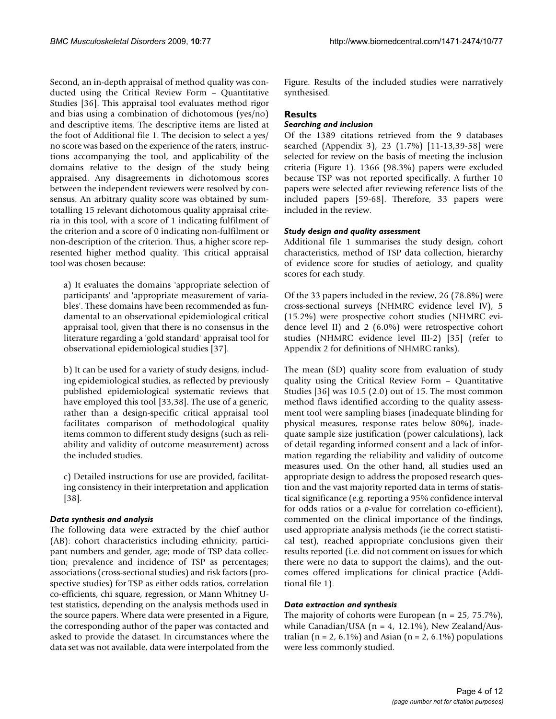Second, an in-depth appraisal of method quality was conducted using the Critical Review Form – Quantitative Studies [36]. This appraisal tool evaluates method rigor and bias using a combination of dichotomous (yes/no) and descriptive items. The descriptive items are listed at the foot of Additional file 1. The decision to select a yes/ no score was based on the experience of the raters, instructions accompanying the tool, and applicability of the domains relative to the design of the study being appraised. Any disagreements in dichotomous scores between the independent reviewers were resolved by consensus. An arbitrary quality score was obtained by sumtotalling 15 relevant dichotomous quality appraisal criteria in this tool, with a score of 1 indicating fulfilment of the criterion and a score of 0 indicating non-fulfilment or non-description of the criterion. Thus, a higher score represented higher method quality. This critical appraisal tool was chosen because:

a) It evaluates the domains 'appropriate selection of participants' and 'appropriate measurement of variables'. These domains have been recommended as fundamental to an observational epidemiological critical appraisal tool, given that there is no consensus in the literature regarding a 'gold standard' appraisal tool for observational epidemiological studies [37].

b) It can be used for a variety of study designs, including epidemiological studies, as reflected by previously published epidemiological systematic reviews that have employed this tool [33,38]. The use of a generic, rather than a design-specific critical appraisal tool facilitates comparison of methodological quality items common to different study designs (such as reliability and validity of outcome measurement) across the included studies.

c) Detailed instructions for use are provided, facilitating consistency in their interpretation and application [38].

#### *Data synthesis and analysis*

The following data were extracted by the chief author (AB): cohort characteristics including ethnicity, participant numbers and gender, age; mode of TSP data collection; prevalence and incidence of TSP as percentages; associations (cross-sectional studies) and risk factors (prospective studies) for TSP as either odds ratios, correlation co-efficients, chi square, regression, or Mann Whitney Utest statistics, depending on the analysis methods used in the source papers. Where data were presented in a Figure, the corresponding author of the paper was contacted and asked to provide the dataset. In circumstances where the data set was not available, data were interpolated from the Figure. Results of the included studies were narratively synthesised.

### **Results**

#### *Searching and inclusion*

Of the 1389 citations retrieved from the 9 databases searched (Appendix 3), 23 (1.7%) [11-13,39-58] were selected for review on the basis of meeting the inclusion criteria (Figure 1). 1366 (98.3%) papers were excluded because TSP was not reported specifically. A further 10 papers were selected after reviewing reference lists of the included papers [59-68]. Therefore, 33 papers were included in the review.

#### *Study design and quality assessment*

Additional file 1 summarises the study design, cohort characteristics, method of TSP data collection, hierarchy of evidence score for studies of aetiology, and quality scores for each study.

Of the 33 papers included in the review, 26 (78.8%) were cross-sectional surveys (NHMRC evidence level IV), 5 (15.2%) were prospective cohort studies (NHMRC evidence level II) and 2 (6.0%) were retrospective cohort studies (NHMRC evidence level III-2) [35] (refer to Appendix 2 for definitions of NHMRC ranks).

The mean (SD) quality score from evaluation of study quality using the Critical Review Form – Quantitative Studies [36] was 10.5 (2.0) out of 15. The most common method flaws identified according to the quality assessment tool were sampling biases (inadequate blinding for physical measures, response rates below 80%), inadequate sample size justification (power calculations), lack of detail regarding informed consent and a lack of information regarding the reliability and validity of outcome measures used. On the other hand, all studies used an appropriate design to address the proposed research question and the vast majority reported data in terms of statistical significance (e.g. reporting a 95% confidence interval for odds ratios or a *p*-value for correlation co-efficient), commented on the clinical importance of the findings, used appropriate analysis methods (ie the correct statistical test), reached appropriate conclusions given their results reported (i.e. did not comment on issues for which there were no data to support the claims), and the outcomes offered implications for clinical practice (Additional file 1).

#### *Data extraction and synthesis*

The majority of cohorts were European (n = 25, 75.7%), while Canadian/USA ( $n = 4$ , 12.1%), New Zealand/Australian ( $n = 2$ , 6.1%) and Asian ( $n = 2$ , 6.1%) populations were less commonly studied.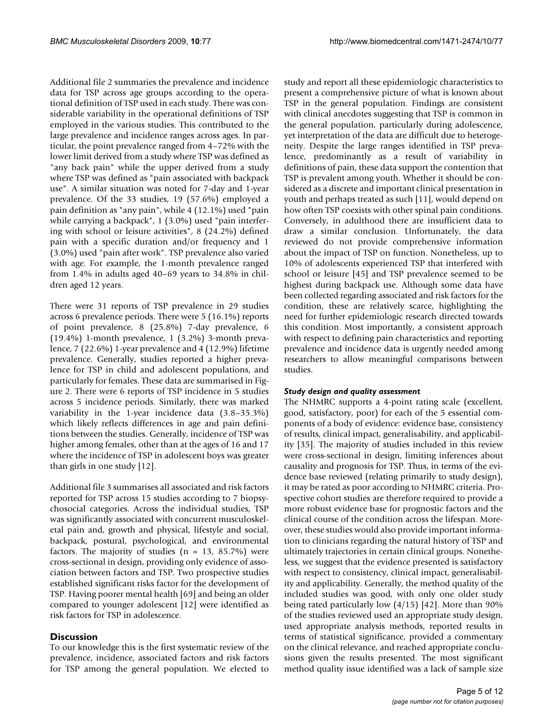Additional file 2 summaries the prevalence and incidence data for TSP across age groups according to the operational definition of TSP used in each study. There was considerable variability in the operational definitions of TSP employed in the various studies. This contributed to the large prevalence and incidence ranges across ages. In particular, the point prevalence ranged from 4–72% with the lower limit derived from a study where TSP was defined as "any back pain" while the upper derived from a study where TSP was defined as "pain associated with backpack use". A similar situation was noted for 7-day and 1-year prevalence. Of the 33 studies, 19 (57.6%) employed a pain definition as "any pain", while 4 (12.1%) used "pain while carrying a backpack", 1 (3.0%) used "pain interfering with school or leisure activities", 8 (24.2%) defined pain with a specific duration and/or frequency and 1 (3.0%) used "pain after work". TSP prevalence also varied with age. For example, the 1-month prevalence ranged from 1.4% in adults aged 40–69 years to 34.8% in children aged 12 years.

There were 31 reports of TSP prevalence in 29 studies across 6 prevalence periods. There were 5 (16.1%) reports of point prevalence, 8 (25.8%) 7-day prevalence, 6 (19.4%) 1-month prevalence, 1 (3.2%) 3-month prevalence, 7 (22.6%) 1-year prevalence and 4 (12.9%) lifetime prevalence. Generally, studies reported a higher prevalence for TSP in child and adolescent populations, and particularly for females. These data are summarised in Figure 2. There were 6 reports of TSP incidence in 5 studies across 5 incidence periods. Similarly, there was marked variability in the 1-year incidence data (3.8–35.3%) which likely reflects differences in age and pain definitions between the studies. Generally, incidence of TSP was higher among females, other than at the ages of 16 and 17 where the incidence of TSP in adolescent boys was greater than girls in one study [12].

Additional file 3 summarises all associated and risk factors reported for TSP across 15 studies according to 7 biopsychosocial categories. Across the individual studies, TSP was significantly associated with concurrent musculoskeletal pain and, growth and physical, lifestyle and social, backpack, postural, psychological, and environmental factors. The majority of studies  $(n = 13, 85.7%)$  were cross-sectional in design, providing only evidence of association between factors and TSP. Two prospective studies established significant risks factor for the development of TSP. Having poorer mental health [69] and being an older compared to younger adolescent [12] were identified as risk factors for TSP in adolescence.

# **Discussion**

To our knowledge this is the first systematic review of the prevalence, incidence, associated factors and risk factors for TSP among the general population. We elected to

study and report all these epidemiologic characteristics to present a comprehensive picture of what is known about TSP in the general population. Findings are consistent with clinical anecdotes suggesting that TSP is common in the general population, particularly during adolescence, yet interpretation of the data are difficult due to heterogeneity. Despite the large ranges identified in TSP prevalence, predominantly as a result of variability in definitions of pain, these data support the contention that TSP is prevalent among youth. Whether it should be considered as a discrete and important clinical presentation in youth and perhaps treated as such [11], would depend on how often TSP coexists with other spinal pain conditions. Conversely, in adulthood there are insufficient data to draw a similar conclusion. Unfortunately, the data reviewed do not provide comprehensive information about the impact of TSP on function. Nonetheless, up to 10% of adolescents experienced TSP that interfered with school or leisure [45] and TSP prevalence seemed to be highest during backpack use. Although some data have been collected regarding associated and risk factors for the condition, these are relatively scarce, highlighting the need for further epidemiologic research directed towards this condition. Most importantly, a consistent approach with respect to defining pain characteristics and reporting prevalence and incidence data is urgently needed among researchers to allow meaningful comparisons between studies.

# *Study design and quality assessment*

The NHMRC supports a 4-point rating scale (excellent, good, satisfactory, poor) for each of the 5 essential components of a body of evidence: evidence base, consistency of results, clinical impact, generalisability, and applicability [35]. The majority of studies included in this review were cross-sectional in design, limiting inferences about causality and prognosis for TSP. Thus, in terms of the evidence base reviewed (relating primarily to study design), it may be rated as poor according to NHMRC criteria. Prospective cohort studies are therefore required to provide a more robust evidence base for prognostic factors and the clinical course of the condition across the lifespan. Moreover, these studies would also provide important information to clinicians regarding the natural history of TSP and ultimately trajectories in certain clinical groups. Nonetheless, we suggest that the evidence presented is satisfactory with respect to consistency, clinical impact, generalisability and applicability. Generally, the method quality of the included studies was good, with only one older study being rated particularly low (4/15) [42]. More than 90% of the studies reviewed used an appropriate study design, used appropriate analysis methods, reported results in terms of statistical significance, provided a commentary on the clinical relevance, and reached appropriate conclusions given the results presented. The most significant method quality issue identified was a lack of sample size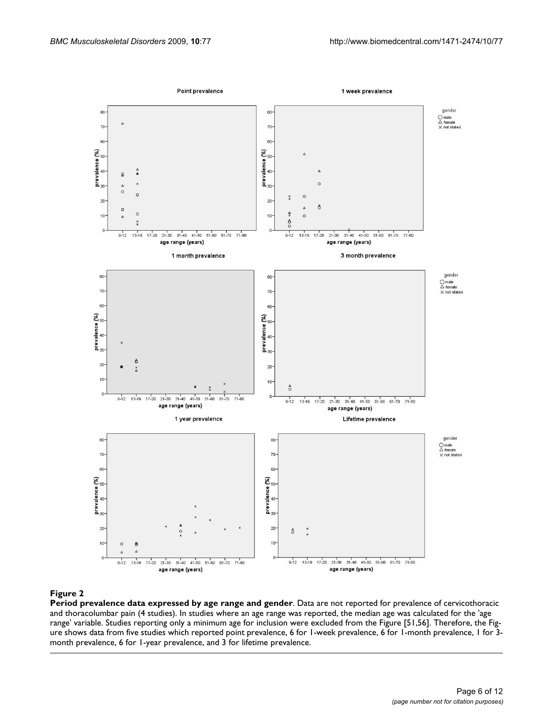

#### **Figure 2**

**Period prevalence data expressed by age range and gender**. Data are not reported for prevalence of cervicothoracic and thoracolumbar pain (4 studies). In studies where an age range was reported, the median age was calculated for the 'age range' variable. Studies reporting only a minimum age for inclusion were excluded from the Figure [51,56]. Therefore, the Figure shows data from five studies which reported point prevalence, 6 for 1-week prevalence, 6 for 1-month prevalence, 1 for 3 month prevalence, 6 for 1-year prevalence, and 3 for lifetime prevalence.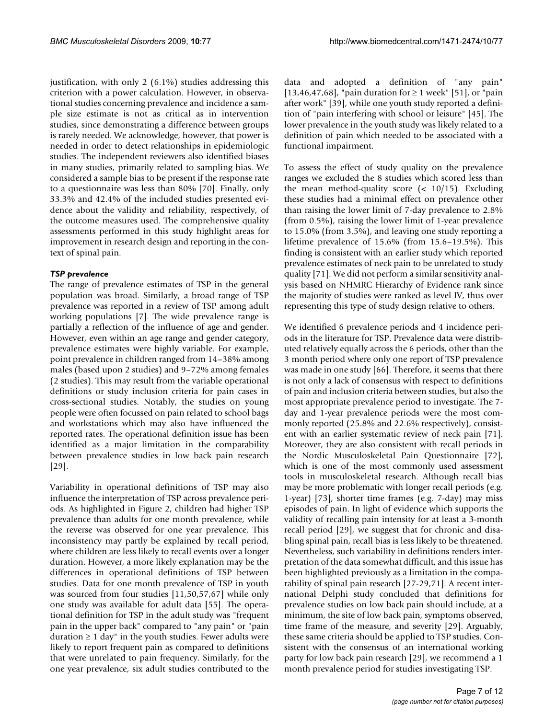justification, with only 2 (6.1%) studies addressing this criterion with a power calculation. However, in observational studies concerning prevalence and incidence a sample size estimate is not as critical as in intervention studies, since demonstrating a difference between groups is rarely needed. We acknowledge, however, that power is needed in order to detect relationships in epidemiologic studies. The independent reviewers also identified biases in many studies, primarily related to sampling bias. We considered a sample bias to be present if the response rate to a questionnaire was less than 80% [70]. Finally, only 33.3% and 42.4% of the included studies presented evidence about the validity and reliability, respectively, of the outcome measures used. The comprehensive quality assessments performed in this study highlight areas for improvement in research design and reporting in the context of spinal pain.

# *TSP prevalence*

The range of prevalence estimates of TSP in the general population was broad. Similarly, a broad range of TSP prevalence was reported in a review of TSP among adult working populations [7]. The wide prevalence range is partially a reflection of the influence of age and gender. However, even within an age range and gender category, prevalence estimates were highly variable. For example, point prevalence in children ranged from 14–38% among males (based upon 2 studies) and 9–72% among females (2 studies). This may result from the variable operational definitions or study inclusion criteria for pain cases in cross-sectional studies. Notably, the studies on young people were often focussed on pain related to school bags and workstations which may also have influenced the reported rates. The operational definition issue has been identified as a major limitation in the comparability between prevalence studies in low back pain research [29].

Variability in operational definitions of TSP may also influence the interpretation of TSP across prevalence periods. As highlighted in Figure 2, children had higher TSP prevalence than adults for one month prevalence, while the reverse was observed for one year prevalence. This inconsistency may partly be explained by recall period, where children are less likely to recall events over a longer duration. However, a more likely explanation may be the differences in operational definitions of TSP between studies. Data for one month prevalence of TSP in youth was sourced from four studies [11,50,57,67] while only one study was available for adult data [55]. The operational definition for TSP in the adult study was "frequent pain in the upper back" compared to "any pain" or "pain duration  $\geq 1$  day" in the youth studies. Fewer adults were likely to report frequent pain as compared to definitions that were unrelated to pain frequency. Similarly, for the one year prevalence, six adult studies contributed to the data and adopted a definition of "any pain" [13,46,47,68], "pain duration for  $\geq 1$  week" [51], or "pain after work" [39], while one youth study reported a definition of "pain interfering with school or leisure" [45]. The lower prevalence in the youth study was likely related to a definition of pain which needed to be associated with a functional impairment.

To assess the effect of study quality on the prevalence ranges we excluded the 8 studies which scored less than the mean method-quality score  $\approx$  10/15). Excluding these studies had a minimal effect on prevalence other than raising the lower limit of 7-day prevalence to 2.8% (from 0.5%), raising the lower limit of 1-year prevalence to 15.0% (from 3.5%), and leaving one study reporting a lifetime prevalence of 15.6% (from 15.6–19.5%). This finding is consistent with an earlier study which reported prevalence estimates of neck pain to be unrelated to study quality [71]. We did not perform a similar sensitivity analysis based on NHMRC Hierarchy of Evidence rank since the majority of studies were ranked as level IV, thus over representing this type of study design relative to others.

We identified 6 prevalence periods and 4 incidence periods in the literature for TSP. Prevalence data were distributed relatively equally across the 6 periods, other than the 3 month period where only one report of TSP prevalence was made in one study [66]. Therefore, it seems that there is not only a lack of consensus with respect to definitions of pain and inclusion criteria between studies, but also the most appropriate prevalence period to investigate. The 7 day and 1-year prevalence periods were the most commonly reported (25.8% and 22.6% respectively), consistent with an earlier systematic review of neck pain [71]. Moreover, they are also consistent with recall periods in the Nordic Musculoskeletal Pain Questionnaire [72], which is one of the most commonly used assessment tools in musculoskeletal research. Although recall bias may be more problematic with longer recall periods (e.g. 1-year) [73], shorter time frames (e.g. 7-day) may miss episodes of pain. In light of evidence which supports the validity of recalling pain intensity for at least a 3-month recall period [29], we suggest that for chronic and disabling spinal pain, recall bias is less likely to be threatened. Nevertheless, such variability in definitions renders interpretation of the data somewhat difficult, and this issue has been highlighted previously as a limitation in the comparability of spinal pain research [27-29,71]. A recent international Delphi study concluded that definitions for prevalence studies on low back pain should include, at a minimum, the site of low back pain, symptoms observed, time frame of the measure, and severity [29]. Arguably, these same criteria should be applied to TSP studies. Consistent with the consensus of an international working party for low back pain research [29], we recommend a 1 month prevalence period for studies investigating TSP.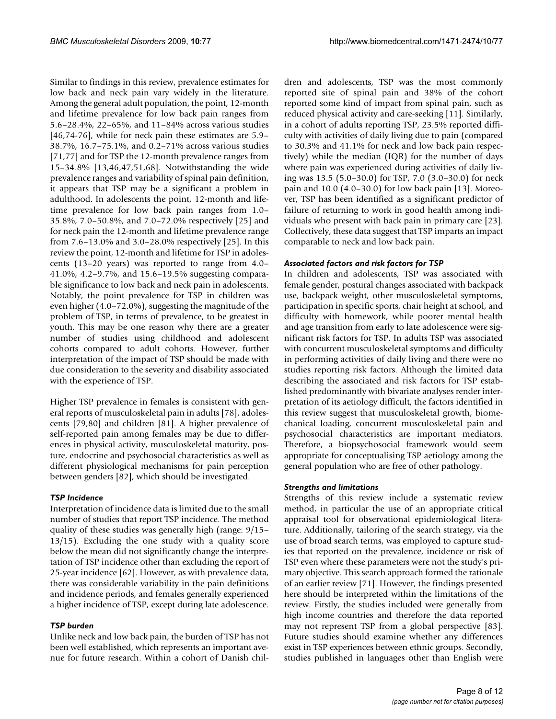Similar to findings in this review, prevalence estimates for low back and neck pain vary widely in the literature. Among the general adult population, the point, 12-month and lifetime prevalence for low back pain ranges from 5.6–28.4%, 22–65%, and 11–84% across various studies [46,74-76], while for neck pain these estimates are 5.9– 38.7%, 16.7–75.1%, and 0.2–71% across various studies [71,77] and for TSP the 12-month prevalence ranges from 15–34.8% [13,46,47,51,68]. Notwithstanding the wide prevalence ranges and variability of spinal pain definition, it appears that TSP may be a significant a problem in adulthood. In adolescents the point, 12-month and lifetime prevalence for low back pain ranges from 1.0– 35.8%, 7.0–50.8%, and 7.0–72.0% respectively [25] and for neck pain the 12-month and lifetime prevalence range from 7.6–13.0% and 3.0–28.0% respectively [25]. In this review the point, 12-month and lifetime for TSP in adolescents (13–20 years) was reported to range from 4.0– 41.0%, 4.2–9.7%, and 15.6–19.5% suggesting comparable significance to low back and neck pain in adolescents. Notably, the point prevalence for TSP in children was even higher (4.0–72.0%), suggesting the magnitude of the problem of TSP, in terms of prevalence, to be greatest in youth. This may be one reason why there are a greater number of studies using childhood and adolescent cohorts compared to adult cohorts. However, further interpretation of the impact of TSP should be made with due consideration to the severity and disability associated with the experience of TSP.

Higher TSP prevalence in females is consistent with general reports of musculoskeletal pain in adults [78], adolescents [79,80] and children [81]. A higher prevalence of self-reported pain among females may be due to differences in physical activity, musculoskeletal maturity, posture, endocrine and psychosocial characteristics as well as different physiological mechanisms for pain perception between genders [82], which should be investigated.

#### *TSP Incidence*

Interpretation of incidence data is limited due to the small number of studies that report TSP incidence. The method quality of these studies was generally high (range: 9/15– 13/15). Excluding the one study with a quality score below the mean did not significantly change the interpretation of TSP incidence other than excluding the report of 25-year incidence [62]. However, as with prevalence data, there was considerable variability in the pain definitions and incidence periods, and females generally experienced a higher incidence of TSP, except during late adolescence.

#### *TSP burden*

Unlike neck and low back pain, the burden of TSP has not been well established, which represents an important avenue for future research. Within a cohort of Danish children and adolescents, TSP was the most commonly reported site of spinal pain and 38% of the cohort reported some kind of impact from spinal pain, such as reduced physical activity and care-seeking [11]. Similarly, in a cohort of adults reporting TSP, 23.5% reported difficulty with activities of daily living due to pain (compared to 30.3% and 41.1% for neck and low back pain respectively) while the median (IQR) for the number of days where pain was experienced during activities of daily living was 13.5 (5.0–30.0) for TSP, 7.0 (3.0–30.0) for neck pain and 10.0 (4.0–30.0) for low back pain [13]. Moreover, TSP has been identified as a significant predictor of failure of returning to work in good health among individuals who present with back pain in primary care [23]. Collectively, these data suggest that TSP imparts an impact comparable to neck and low back pain.

#### *Associated factors and risk factors for TSP*

In children and adolescents, TSP was associated with female gender, postural changes associated with backpack use, backpack weight, other musculoskeletal symptoms, participation in specific sports, chair height at school, and difficulty with homework, while poorer mental health and age transition from early to late adolescence were significant risk factors for TSP. In adults TSP was associated with concurrent musculoskeletal symptoms and difficulty in performing activities of daily living and there were no studies reporting risk factors. Although the limited data describing the associated and risk factors for TSP established predominantly with bivariate analyses render interpretation of its aetiology difficult, the factors identified in this review suggest that musculoskeletal growth, biomechanical loading, concurrent musculoskeletal pain and psychosocial characteristics are important mediators. Therefore, a biopsychosocial framework would seem appropriate for conceptualising TSP aetiology among the general population who are free of other pathology.

#### *Strengths and limitations*

Strengths of this review include a systematic review method, in particular the use of an appropriate critical appraisal tool for observational epidemiological literature. Additionally, tailoring of the search strategy, via the use of broad search terms, was employed to capture studies that reported on the prevalence, incidence or risk of TSP even where these parameters were not the study's primary objective. This search approach formed the rationale of an earlier review [71]. However, the findings presented here should be interpreted within the limitations of the review. Firstly, the studies included were generally from high income countries and therefore the data reported may not represent TSP from a global perspective [83]. Future studies should examine whether any differences exist in TSP experiences between ethnic groups. Secondly, studies published in languages other than English were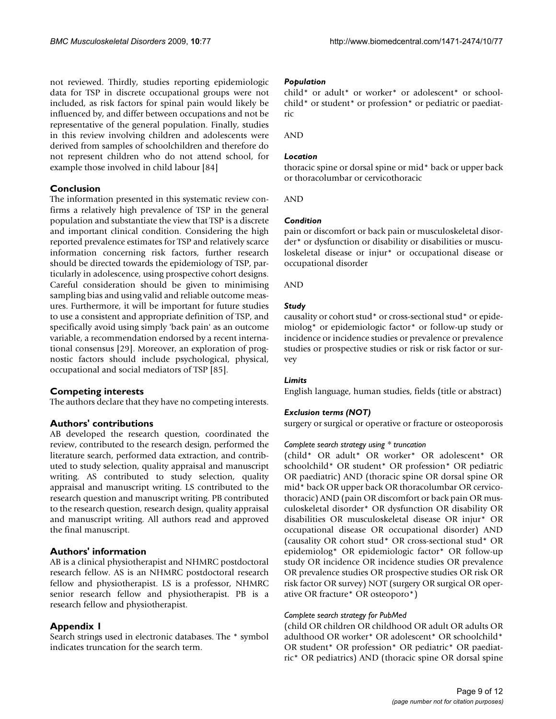not reviewed. Thirdly, studies reporting epidemiologic data for TSP in discrete occupational groups were not included, as risk factors for spinal pain would likely be influenced by, and differ between occupations and not be representative of the general population. Finally, studies in this review involving children and adolescents were derived from samples of schoolchildren and therefore do not represent children who do not attend school, for example those involved in child labour [84]

#### **Conclusion**

The information presented in this systematic review confirms a relatively high prevalence of TSP in the general population and substantiate the view that TSP is a discrete and important clinical condition. Considering the high reported prevalence estimates for TSP and relatively scarce information concerning risk factors, further research should be directed towards the epidemiology of TSP, particularly in adolescence, using prospective cohort designs. Careful consideration should be given to minimising sampling bias and using valid and reliable outcome measures. Furthermore, it will be important for future studies to use a consistent and appropriate definition of TSP, and specifically avoid using simply 'back pain' as an outcome variable, a recommendation endorsed by a recent international consensus [29]. Moreover, an exploration of prognostic factors should include psychological, physical, occupational and social mediators of TSP [85].

#### **Competing interests**

The authors declare that they have no competing interests.

#### **Authors' contributions**

AB developed the research question, coordinated the review, contributed to the research design, performed the literature search, performed data extraction, and contributed to study selection, quality appraisal and manuscript writing. AS contributed to study selection, quality appraisal and manuscript writing. LS contributed to the research question and manuscript writing. PB contributed to the research question, research design, quality appraisal and manuscript writing. All authors read and approved the final manuscript.

#### **Authors' information**

AB is a clinical physiotherapist and NHMRC postdoctoral research fellow. AS is an NHMRC postdoctoral research fellow and physiotherapist. LS is a professor, NHMRC senior research fellow and physiotherapist. PB is a research fellow and physiotherapist.

# **Appendix 1**

Search strings used in electronic databases. The \* symbol indicates truncation for the search term.

#### *Population*

child\* or adult\* or worker\* or adolescent\* or schoolchild\* or student\* or profession\* or pediatric or paediatric

AND

#### *Location*

thoracic spine or dorsal spine or mid\* back or upper back or thoracolumbar or cervicothoracic

AND

#### *Condition*

pain or discomfort or back pain or musculoskeletal disorder\* or dysfunction or disability or disabilities or musculoskeletal disease or injur\* or occupational disease or occupational disorder

#### AND

#### *Study*

causality or cohort stud\* or cross-sectional stud\* or epidemiolog\* or epidemiologic factor\* or follow-up study or incidence or incidence studies or prevalence or prevalence studies or prospective studies or risk or risk factor or survey

#### *Limits*

English language, human studies, fields (title or abstract)

#### *Exclusion terms (NOT)*

surgery or surgical or operative or fracture or osteoporosis

#### *Complete search strategy using \* truncation*

(child\* OR adult\* OR worker\* OR adolescent\* OR schoolchild\* OR student\* OR profession\* OR pediatric OR paediatric) AND (thoracic spine OR dorsal spine OR mid\* back OR upper back OR thoracolumbar OR cervicothoracic) AND (pain OR discomfort or back pain OR musculoskeletal disorder\* OR dysfunction OR disability OR disabilities OR musculoskeletal disease OR injur\* OR occupational disease OR occupational disorder) AND (causality OR cohort stud\* OR cross-sectional stud\* OR epidemiolog\* OR epidemiologic factor\* OR follow-up study OR incidence OR incidence studies OR prevalence OR prevalence studies OR prospective studies OR risk OR risk factor OR survey) NOT (surgery OR surgical OR operative OR fracture\* OR osteoporo\*)

#### *Complete search strategy for PubMed*

(child OR children OR childhood OR adult OR adults OR adulthood OR worker\* OR adolescent\* OR schoolchild\* OR student\* OR profession\* OR pediatric\* OR paediatric\* OR pediatrics) AND (thoracic spine OR dorsal spine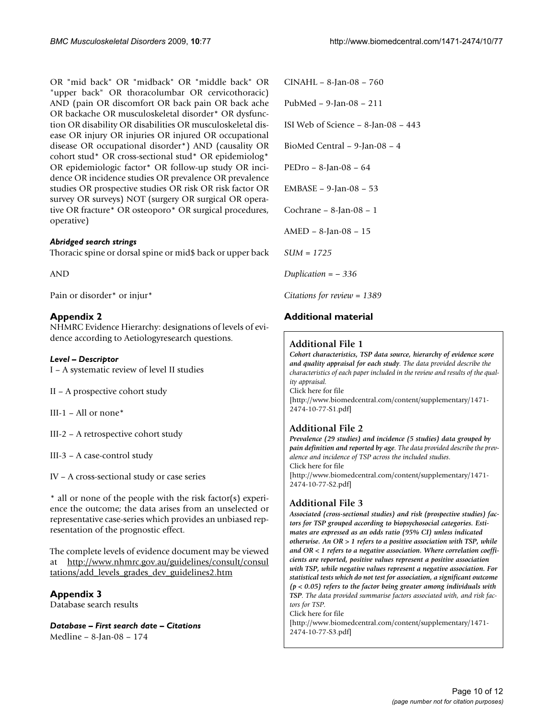OR "mid back" OR "midback" OR "middle back" OR "upper back" OR thoracolumbar OR cervicothoracic) AND (pain OR discomfort OR back pain OR back ache OR backache OR musculoskeletal disorder\* OR dysfunction OR disability OR disabilities OR musculoskeletal disease OR injury OR injuries OR injured OR occupational disease OR occupational disorder\*) AND (causality OR cohort stud\* OR cross-sectional stud\* OR epidemiolog\* OR epidemiologic factor\* OR follow-up study OR incidence OR incidence studies OR prevalence OR prevalence studies OR prospective studies OR risk OR risk factor OR survey OR surveys) NOT (surgery OR surgical OR operative OR fracture\* OR osteoporo\* OR surgical procedures, operative)

# *Abridged search strings*

Thoracic spine or dorsal spine or mid\$ back or upper back

AND

Pain or disorder\* or injur\*

# **Appendix 2**

NHMRC Evidence Hierarchy: designations of levels of evidence according to Aetiologyresearch questions.

#### *Level – Descriptor*

I – A systematic review of level II studies

II – A prospective cohort study

III-1 – All or none $*$ 

III-2 – A retrospective cohort study

III-3 – A case-control study

IV – A cross-sectional study or case series

\* all or none of the people with the risk factor(s) experience the outcome; the data arises from an unselected or representative case-series which provides an unbiased representation of the prognostic effect.

The complete levels of evidence document may be viewed at [http://www.nhmrc.gov.au/guidelines/consult/consul](http://www.nhmrc.gov.au/guidelines/consult/consultations/add_levels_grades_dev_guidelines2.htm) [tations/add\\_levels\\_grades\\_dev\\_guidelines2.htm](http://www.nhmrc.gov.au/guidelines/consult/consultations/add_levels_grades_dev_guidelines2.htm)

**Appendix 3** Database search results

*Database – First search date – Citations* Medline – 8-Jan-08 – 174

CINAHL – 8-Jan-08 – 760

PubMed – 9-Jan-08 – 211

ISI Web of Science – 8-Jan-08 – 443

BioMed Central – 9-Jan-08 – 4

PEDro – 8-Jan-08 – 64

EMBASE – 9-Jan-08 – 53

Cochrane – 8-Jan-08 – 1

AMED – 8-Jan-08 – 15

*SUM = 1725*

*Duplication = – 336*

*Citations for review = 1389*

# **Additional material**

#### **Additional File 1**

*Cohort characteristics, TSP data source, hierarchy of evidence score and quality appraisal for each study. The data provided describe the characteristics of each paper included in the review and results of the quality appraisal.* Click here for file [\[http://www.biomedcentral.com/content/supplementary/1471-](http://www.biomedcentral.com/content/supplementary/1471-2474-10-77-S1.pdf) 2474-10-77-S1.pdf]

# **Additional File 2**

*Prevalence (29 studies) and incidence (5 studies) data grouped by pain definition and reported by age. The data provided describe the prevalence and incidence of TSP across the included studies.* Click here for file [\[http://www.biomedcentral.com/content/supplementary/1471-](http://www.biomedcentral.com/content/supplementary/1471-2474-10-77-S2.pdf) 2474-10-77-S2.pdf]

# **Additional File 3**

*Associated (cross-sectional studies) and risk (prospective studies) factors for TSP grouped according to biopsychosocial categories. Estimates are expressed as an odds ratio (95% CI) unless indicated otherwise. An OR > 1 refers to a positive association with TSP, while and OR < 1 refers to a negative association. Where correlation coefficients are reported, positive values represent a positive association with TSP, while negative values represent a negative association. For statistical tests which do not test for association, a significant outcome (p < 0.05) refers to the factor being greater among individuals with TSP. The data provided summarise factors associated with, and risk factors for TSP.*

Click here for file [\[http://www.biomedcentral.com/content/supplementary/1471-](http://www.biomedcentral.com/content/supplementary/1471-2474-10-77-S3.pdf) 2474-10-77-S3.pdf]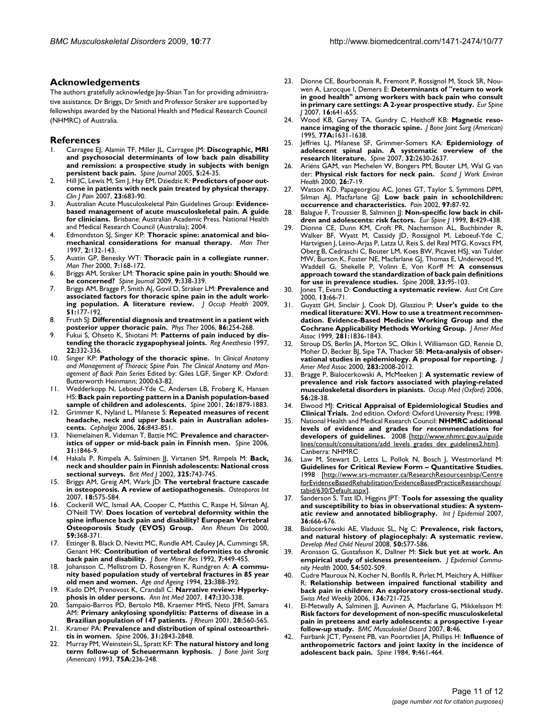#### **Acknowledgements**

The authors gratefully acknowledge Jay-Shian Tan for providing administrative assistance. Dr Briggs, Dr Smith and Professor Straker are supported by fellowships awarded by the National Health and Medical Research Council (NHMRC) of Australia.

#### **References**

- 1. Carragee EJ, Alamin TF, Miller JL, Carragee JM: **[Discographic, MRI](http://www.ncbi.nlm.nih.gov/entrez/query.fcgi?cmd=Retrieve&db=PubMed&dopt=Abstract&list_uids=15653082) [and psychosocial determinants of low back pain disability](http://www.ncbi.nlm.nih.gov/entrez/query.fcgi?cmd=Retrieve&db=PubMed&dopt=Abstract&list_uids=15653082) and remission: a prospective study in subjects with benign [persistent back pain.](http://www.ncbi.nlm.nih.gov/entrez/query.fcgi?cmd=Retrieve&db=PubMed&dopt=Abstract&list_uids=15653082)** *Spine Journal* 2005, **5:**24-35.
- Hill JC, Lewis M, Sim J, Hay EM, Dziedzic K: [Predictors of poor out](http://www.ncbi.nlm.nih.gov/entrez/query.fcgi?cmd=Retrieve&db=PubMed&dopt=Abstract&list_uids=17885347)**[come in patients with neck pain treated by physical therapy.](http://www.ncbi.nlm.nih.gov/entrez/query.fcgi?cmd=Retrieve&db=PubMed&dopt=Abstract&list_uids=17885347)** *Clin J Pain* 2007, **23:**683-90.
- 3. Australian Acute Musculoskeletal Pain Guidelines Group: **Evidencebased management of acute musculoskeletal pain. A guide for clinicians.** Brisbane: Australian Academic Press. National Health and Medical Research Council (Australia); 2004.
- 4. Edmondston SJ, Singer KP: **[Thoracic spine: anatomical and bio](http://www.ncbi.nlm.nih.gov/entrez/query.fcgi?cmd=Retrieve&db=PubMed&dopt=Abstract&list_uids=11440526)[mechanical considerations for manual therapy.](http://www.ncbi.nlm.nih.gov/entrez/query.fcgi?cmd=Retrieve&db=PubMed&dopt=Abstract&list_uids=11440526)** *Man Ther* 1997, **2:**132-143.
- 5. Austin GP, Benesky WT: **Thoracic pain in a collegiate runner.** *Man Ther* 2000, **7:**168-172.
- 6. Briggs AM, Straker LM: **[Thoracic spine pain in youth: Should we](http://www.ncbi.nlm.nih.gov/entrez/query.fcgi?cmd=Retrieve&db=PubMed&dopt=Abstract&list_uids=19138571) [be concerned?](http://www.ncbi.nlm.nih.gov/entrez/query.fcgi?cmd=Retrieve&db=PubMed&dopt=Abstract&list_uids=19138571)** *Spine Journal* 2009, **9:**338-339.
- 7. Briggs AM, Bragge P, Smith AJ, Govil D, Straker LM: **[Prevalence and](http://www.ncbi.nlm.nih.gov/entrez/query.fcgi?cmd=Retrieve&db=PubMed&dopt=Abstract&list_uids=19336970) [associated factors for thoracic spine pain in the adult work](http://www.ncbi.nlm.nih.gov/entrez/query.fcgi?cmd=Retrieve&db=PubMed&dopt=Abstract&list_uids=19336970)[ing population. A literature review.](http://www.ncbi.nlm.nih.gov/entrez/query.fcgi?cmd=Retrieve&db=PubMed&dopt=Abstract&list_uids=19336970)** *J Occup Health* 2009, **51:**177-192.
- 8. Fruth SJ: **[Differential diagnosis and treatment in a patient with](http://www.ncbi.nlm.nih.gov/entrez/query.fcgi?cmd=Retrieve&db=PubMed&dopt=Abstract&list_uids=16445339) [posterior upper thoracic pain.](http://www.ncbi.nlm.nih.gov/entrez/query.fcgi?cmd=Retrieve&db=PubMed&dopt=Abstract&list_uids=16445339)** *Phys Ther* 2006, **86:**254-268.
- Fukui S, Ohseto K, Shiotani M: Patterns of pain induced by dis**tending the thoracic zygapophyseal joints.** *Reg Anesthesia* 1997, **22:**332-336.
- 10. Singer KP: **Pathology of the thoracic spine.** In *Clinical Anatomy and Management of Thoracic Spine Pain. The Clinical Anatomy and Management of Back Pain Series* Edited by: Giles LGF, Singer KP. Oxford: Butterworth Heinmann; 2000:63-82.
- 11. Wedderkopp N, Leboeuf-Yde C, Andersen LB, Froberg K, Hansen HS: **[Back pain reporting pattern in a Danish population-based](http://www.ncbi.nlm.nih.gov/entrez/query.fcgi?cmd=Retrieve&db=PubMed&dopt=Abstract&list_uids=11568698) [sample of children and adolescents.](http://www.ncbi.nlm.nih.gov/entrez/query.fcgi?cmd=Retrieve&db=PubMed&dopt=Abstract&list_uids=11568698)** *Spine* 2001, **26:**1879-1883.
- 12. Grimmer K, Nyland L, Milanese S: **Repeated measures of recent headache, neck and upper back pain in Australian adolescents.** *Cephalgia* 2006, **26:**843-851.
- 13. Niemelainen R, Videman T, Battie MC: **[Prevalence and character](http://www.ncbi.nlm.nih.gov/entrez/query.fcgi?cmd=Retrieve&db=PubMed&dopt=Abstract&list_uids=16845362)[istics of upper or mid-back pain in Finnish men.](http://www.ncbi.nlm.nih.gov/entrez/query.fcgi?cmd=Retrieve&db=PubMed&dopt=Abstract&list_uids=16845362)** *Spine* 2006, **31:**1846-9.
- 14. Hakala P, Rimpela A, Salminen JJ, Virtanen SM, Rimpela M: **[Back,](http://www.ncbi.nlm.nih.gov/entrez/query.fcgi?cmd=Retrieve&db=PubMed&dopt=Abstract&list_uids=12364301) [neck and shoulder pain in Finnish adolescents: National cross](http://www.ncbi.nlm.nih.gov/entrez/query.fcgi?cmd=Retrieve&db=PubMed&dopt=Abstract&list_uids=12364301) [sectional surveys.](http://www.ncbi.nlm.nih.gov/entrez/query.fcgi?cmd=Retrieve&db=PubMed&dopt=Abstract&list_uids=12364301)** *Brit Med J* 2002, **325:**743-745.
- 15. Briggs AM, Greig AM, Wark JD: **[The vertebral fracture cascade](http://www.ncbi.nlm.nih.gov/entrez/query.fcgi?cmd=Retrieve&db=PubMed&dopt=Abstract&list_uids=17206492) [in osteoporosis. A review of aetiopathogenesis.](http://www.ncbi.nlm.nih.gov/entrez/query.fcgi?cmd=Retrieve&db=PubMed&dopt=Abstract&list_uids=17206492)** *Osteoporos Int* 2007, **18:**575-584.
- 16. Cockerill WC, Ismail AA, Cooper C, Matthis C, Raspe H, Silman AJ, O'Neill TW: **[Does location of vertebral deformity within the](http://www.ncbi.nlm.nih.gov/entrez/query.fcgi?cmd=Retrieve&db=PubMed&dopt=Abstract&list_uids=10784519) [spine influence back pain and disability? European Vertebral](http://www.ncbi.nlm.nih.gov/entrez/query.fcgi?cmd=Retrieve&db=PubMed&dopt=Abstract&list_uids=10784519) [Osteoporosis Study \(EVOS\) Group.](http://www.ncbi.nlm.nih.gov/entrez/query.fcgi?cmd=Retrieve&db=PubMed&dopt=Abstract&list_uids=10784519)** *Ann Rheum Dis* 2000, **59:**368-371.
- 17. Ettinger B, Black D, Nevitt MC, Rundle AM, Cauley JA, Cummings SR, Genant HK: **[Contribution of vertebral deformities to chronic](http://www.ncbi.nlm.nih.gov/entrez/query.fcgi?cmd=Retrieve&db=PubMed&dopt=Abstract&list_uids=1535172) [back pain and disability.](http://www.ncbi.nlm.nih.gov/entrez/query.fcgi?cmd=Retrieve&db=PubMed&dopt=Abstract&list_uids=1535172)** *J Bone Miner Res* 1992, **7:**449-455.
- 18. Johansson C, Mellstrom D, Rosengren K, Rundgren A: **A community based population study of vertebral fractures in 85 year old men and women.** *Age and Ageing* 1994, **23:**388-392.
- 19. Kado DM, Prenovost K, Crandall C: **[Narrative review: Hyperky](http://www.ncbi.nlm.nih.gov/entrez/query.fcgi?cmd=Retrieve&db=PubMed&dopt=Abstract&list_uids=17785488)[phosis in older persons.](http://www.ncbi.nlm.nih.gov/entrez/query.fcgi?cmd=Retrieve&db=PubMed&dopt=Abstract&list_uids=17785488)** *Ann Int Med* 2007, **147:**330-338.
- 20. Sampaio-Barros PD, Bertolo MB, Kraemer MHS, Neto JFM, Samara AM: **[Primary ankylosing spondylitis: Patterns of disease in a](http://www.ncbi.nlm.nih.gov/entrez/query.fcgi?cmd=Retrieve&db=PubMed&dopt=Abstract&list_uids=11296959) [Brazilian population of 147 patients.](http://www.ncbi.nlm.nih.gov/entrez/query.fcgi?cmd=Retrieve&db=PubMed&dopt=Abstract&list_uids=11296959)** *J Rheum* 2001, **28:**560-565.
- 21. Kramer PA: **[Prevalence and distribution of spinal osteoarthri](http://www.ncbi.nlm.nih.gov/entrez/query.fcgi?cmd=Retrieve&db=PubMed&dopt=Abstract&list_uids=17108839)[tis in women.](http://www.ncbi.nlm.nih.gov/entrez/query.fcgi?cmd=Retrieve&db=PubMed&dopt=Abstract&list_uids=17108839)** *Spine* 2006, **31:**2843-2848.
- 22. Murray PM, Weinstein SL, Spratt KF: **The natural history and long term follow-up of Scheuermann kyphosis.** *J Bone Joint Surg (American)* 1993, **75A:**236-248.
- 23. Dionne CE, Bourbonnais R, Fremont P, Rossignol M, Stock SR, Nouwen A, Larocque I, Demers E: **[Determinants of "return to work](http://www.ncbi.nlm.nih.gov/entrez/query.fcgi?cmd=Retrieve&db=PubMed&dopt=Abstract&list_uids=16868783) [in good health" among workers with back pain who consult](http://www.ncbi.nlm.nih.gov/entrez/query.fcgi?cmd=Retrieve&db=PubMed&dopt=Abstract&list_uids=16868783) [in primary care settings: A 2-year prospective study.](http://www.ncbi.nlm.nih.gov/entrez/query.fcgi?cmd=Retrieve&db=PubMed&dopt=Abstract&list_uids=16868783)** *Eur Spine J* 2007, **16:**641-655.
- 24. Wood KB, Garvey TA, Gundry C, Heithoff KB: **Magnetic resonance imaging of the thoracic spine.** *J Bone Joint Surg (American)* 1995, **77A:**1631-1638.
- 25. Jeffries LJ, Milanese SF, Grimmer-Somers KA: **[Epidemiology of](http://www.ncbi.nlm.nih.gov/entrez/query.fcgi?cmd=Retrieve&db=PubMed&dopt=Abstract&list_uids=17978666) [adolescent spinal pain. A systematic overview of the](http://www.ncbi.nlm.nih.gov/entrez/query.fcgi?cmd=Retrieve&db=PubMed&dopt=Abstract&list_uids=17978666) [research literature.](http://www.ncbi.nlm.nih.gov/entrez/query.fcgi?cmd=Retrieve&db=PubMed&dopt=Abstract&list_uids=17978666)** *Spine* 2007, **32:**2630-2637.
- 26. Ariëns GAM, van Mechelen W, Bongers PM, Bouter LM, Wal G van der: **[Physical risk factors for neck pain.](http://www.ncbi.nlm.nih.gov/entrez/query.fcgi?cmd=Retrieve&db=PubMed&dopt=Abstract&list_uids=10744172)** *Scand J Work Environ Health* 2000, **26:**7-19.
- 27. Watson KD, Papageorgiou AC, Jones GT, Taylor S, Symmons DPM, Silman AJ, Macfarlane GJ: **[Low back pain in schoolchildren:](http://www.ncbi.nlm.nih.gov/entrez/query.fcgi?cmd=Retrieve&db=PubMed&dopt=Abstract&list_uids=12031782) [occurrence and characteristics.](http://www.ncbi.nlm.nih.gov/entrez/query.fcgi?cmd=Retrieve&db=PubMed&dopt=Abstract&list_uids=12031782)** *Pain* 2002, **97:**87-92.
- Balague F, Troussier B, Salminen JJ: **[Non-specific low back in chil](http://www.ncbi.nlm.nih.gov/entrez/query.fcgi?cmd=Retrieve&db=PubMed&dopt=Abstract&list_uids=10664299)[dren and adolescents: risk factors.](http://www.ncbi.nlm.nih.gov/entrez/query.fcgi?cmd=Retrieve&db=PubMed&dopt=Abstract&list_uids=10664299)** *Eur Spine J* 1999, **8:**429-438.
- 29. Dionne CE, Dunn KM, Croft PR, Nachemson AL, Buchbinder R, Walker BF, Wyatt M, Cassidy JD, Rossignol M, Leboeuf-Yde C, Hartvigsen J, Leino-Arjas P, Latza U, Reis S, del Real MTG, Kovacs FM, Oberg B, Cedraschi C, Bouter LM, Koes BW, Picavet HSJ, van Tulder MW, Burton K, Foster NE, Macfarlane GJ, Thomas E, Underwood M, Waddell G, Shekelle P, Volinn E, Von Korff M: **[A consensus](http://www.ncbi.nlm.nih.gov/entrez/query.fcgi?cmd=Retrieve&db=PubMed&dopt=Abstract&list_uids=18165754) [approach toward the standardization of back pain definitions](http://www.ncbi.nlm.nih.gov/entrez/query.fcgi?cmd=Retrieve&db=PubMed&dopt=Abstract&list_uids=18165754) [for use in prevalence studies.](http://www.ncbi.nlm.nih.gov/entrez/query.fcgi?cmd=Retrieve&db=PubMed&dopt=Abstract&list_uids=18165754)** *Spine* 2008, **33:**95-103.
- 30. Jones T, Evans D: **[Conducting a systematic review.](http://www.ncbi.nlm.nih.gov/entrez/query.fcgi?cmd=Retrieve&db=PubMed&dopt=Abstract&list_uids=11235454)** *Aust Crit Care* 2000, **13:**66-71.
- 31. Guyatt GH, Sinclair J, Cook DJ, Glasziou P: **User's guide to the medical literature: XVI. How to use a treatment recommendation. Evidence-Based Medicine Working Group and the Cochrane Applicability Methods Working Group.** *J Amer Med Assoc* 1999, **281:**1836-1843.
- 32. Stroup DS, Berlin JA, Morton SC, Olkin I, Williamson GD, Rennie D, Moher D, Becker BJ, Sipe TA, Thacker SB: **Meta-analysis of observational studies in epidemiology. A proposal for reporting.** *J Amer Med Assoc* 2000, **283:**2008-2012.
- 33. Bragge P, Bialocerkowski A, McMeeken J: **A systematic review of prevalence and risk factors associated with playing-related musculoskeletal disorders in pianists.** *Occup Med (Oxford)* 2006, **56:**28-38.
- 34. Elwood MJ: **Critical Appraisal of Epidemiological Studies and Clinical Trials.** 2nd edition. Oxford: Oxford University Press; 1998.
- 35. National Health and Medical Research Council: **NHMRC additional levels of evidence and grades for recommendations for developers of guidelines.** 2008 [\[http://www.nhmrc.gov.au/guide](http://www.nhmrc.gov.au/guidelines/consult/consultations/add_levels_grades_dev_guidelines2.htm) [lines/consult/consultations/add\\_levels\\_grades\\_dev\\_guidelines2.htm](http://www.nhmrc.gov.au/guidelines/consult/consultations/add_levels_grades_dev_guidelines2.htm)]. Canberra: NHMRC
- Law M, Stewart D, Letts L, Pollok N, Bosch J, Westmorland M: **Guidelines for Critical Review Form – Quantitative Studies.** 1998 [[http://www.srs-mcmaster.ca/ResearchResourcesnbsp/Centre](http://www.srs-mcmaster.ca/ResearchResourcesnbsp/CentreforEvidenceBasedRehabilitation/EvidenceBasedPracticeResearchGroup/tabid/630/Default.aspx) [forEvidenceBasedRehabilitation/EvidenceBasedPracticeResearchoup/](http://www.srs-mcmaster.ca/ResearchResourcesnbsp/CentreforEvidenceBasedRehabilitation/EvidenceBasedPracticeResearchGroup/tabid/630/Default.aspx) [tabid/630/Default.aspx](http://www.srs-mcmaster.ca/ResearchResourcesnbsp/CentreforEvidenceBasedRehabilitation/EvidenceBasedPracticeResearchGroup/tabid/630/Default.aspx)].
- 37. Sanderson S, Tatt ID, Higgins JPT: **[Tools for assessing the quality](http://www.ncbi.nlm.nih.gov/entrez/query.fcgi?cmd=Retrieve&db=PubMed&dopt=Abstract&list_uids=17470488) [and susceptibility to bias in observational studies: A system](http://www.ncbi.nlm.nih.gov/entrez/query.fcgi?cmd=Retrieve&db=PubMed&dopt=Abstract&list_uids=17470488)[atic review and annotated bibliography.](http://www.ncbi.nlm.nih.gov/entrez/query.fcgi?cmd=Retrieve&db=PubMed&dopt=Abstract&list_uids=17470488)** *Int J Epidemiol* 2007, **36:**666-676.
- 38. Bialocerkowski AE, Vladusic SL, Ng C: **[Prevalence, risk factors,](http://www.ncbi.nlm.nih.gov/entrez/query.fcgi?cmd=Retrieve&db=PubMed&dopt=Abstract&list_uids=18754894) [and natural history of plagiocephaly: A systematic review.](http://www.ncbi.nlm.nih.gov/entrez/query.fcgi?cmd=Retrieve&db=PubMed&dopt=Abstract&list_uids=18754894)** *Develop Med Child Neurol* 2008, **50:**577-586.
- 39. Aronsson G, Gustafsson K, Dallner M: **[Sick but yet at work. An](http://www.ncbi.nlm.nih.gov/entrez/query.fcgi?cmd=Retrieve&db=PubMed&dopt=Abstract&list_uids=10846192) [empirical study of sickness presenteeism.](http://www.ncbi.nlm.nih.gov/entrez/query.fcgi?cmd=Retrieve&db=PubMed&dopt=Abstract&list_uids=10846192)** *J Epidemiol Community Health* 2000, **54:**502-509.
- 40. Cudre Mauroux N, Kocher N, Bonfils R, Pirlet M, Meichtry A, Hilfiker R: **Relationship between impaired functional stability and back pain in children: An exploratory cross-sectional study.** *Swiss Med Weekly* 2006, **136:**721-725.
- 41. El-Metwally A, Salminen JJ, Auvinen A, Macfarlane G, Mikkelsson M: **Risk factors for development of non-specific musculoskeletal pain in preteens and early adolescents: a prospective 1-year follow-up study.** *BMC Musculoskel Disord* 2007, **8:**46.
- 42. Fairbank JCT, Pynsent PB, van Poortvliet JA, Phillips H: **[Influence of](http://www.ncbi.nlm.nih.gov/entrez/query.fcgi?cmd=Retrieve&db=PubMed&dopt=Abstract&list_uids=6238421) [anthropometric factors and joint laxity in the incidence of](http://www.ncbi.nlm.nih.gov/entrez/query.fcgi?cmd=Retrieve&db=PubMed&dopt=Abstract&list_uids=6238421) [adolescent back pain.](http://www.ncbi.nlm.nih.gov/entrez/query.fcgi?cmd=Retrieve&db=PubMed&dopt=Abstract&list_uids=6238421)** *Spine* 1984, **9:**461-464.